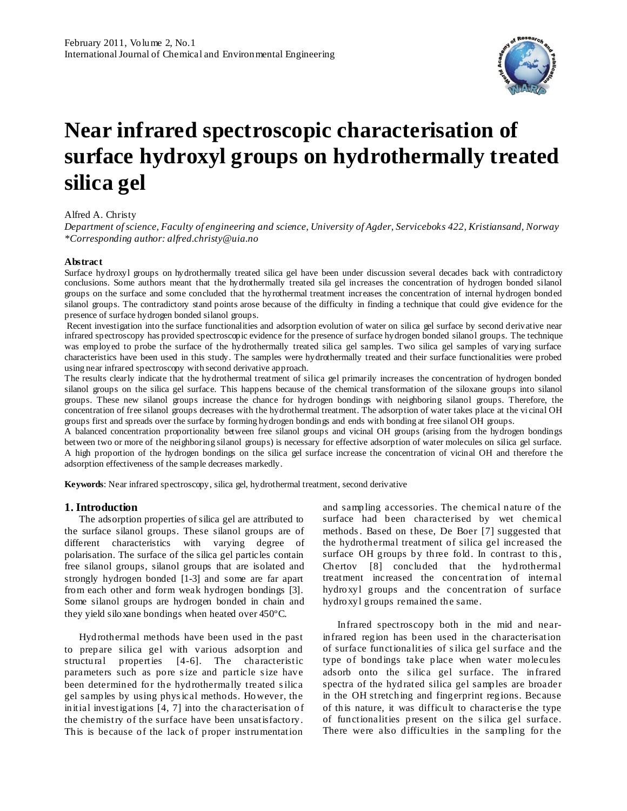

# **Near infrared spectroscopic characterisation of surface hydroxyl groups on hydrothermally treated silica gel**

### Alfred A. Christy

*Department of science, Faculty of engineering and science, University of Agder, Serviceboks 422, Kristiansand, Norway \*Corresponding author: alfred.christy@uia.no*

#### **Abstract**

Surface hydroxyl groups on hydrothermally treated silica gel have been under discussion several decades back with contradictory conclusions. Some authors meant that the hydrothermally treated sila gel increases the concentration of hydrogen bonded silanol groups on the surface and some concluded that the hyrothermal treatment increases the concentration of internal hydrogen bonded silanol groups. The contradictory stand points arose because of the difficulty in finding a technique that could give evidence for the presence of surface hydrogen bonded silanol groups.

Recent investigation into the surface functionalities and adsorption evolution of water on silica gel surface by second derivative near infrared spectroscopy has provided spectroscopic evidence for the presence of surface hydrogen bonded silanol groups. The technique was employed to probe the surface of the hydrothermally treated silica gel samples. Two silica gel samples of varying surface characteristics have been used in this study. The samples were hydrothermally treated and their surface functionalities were probed using near infrared spectroscopy with second derivative approach.

The results clearly indicate that the hydrothermal treatment of silica gel primarily increases the concentration of hydrogen bonded silanol groups on the silica gel surface. This happens because of the chemical transformation of the siloxane groups into silanol groups. These new silanol groups increase the chance for hydrogen bondings with neighboring silanol groups. Therefore, the concentration of free silanol groups decreases with the hydrothermal treatment. The adsorption of water takes place at the vi cinal OH groups first and spreads over the surface by forming hydrogen bondings and ends with bonding at free silanol OH groups.

A balanced concentration proportionality between free silanol groups and vicinal OH groups (arising from the hydrogen bondings between two or more of the neighboring silanol groups) is necessary for effective adsorption of water molecules on silica gel surface. A high proportion of the hydrogen bondings on the silica gel surface increase the concentration of vicinal OH and therefore t he adsorption effectiveness of the sample decreases markedly.

**Keywords**: Near infrared spectroscopy, silica gel, hydrothermal treatment, second derivative

# **1. Introduction**

The adsorption properties of silica gel are attributed to the surface silanol groups. These silanol groups are of different characteristics with varying degree of polarisation. The surface of the silica gel particles contain free silanol groups, silanol groups that are isolated and strongly hydrogen bonded [1-3] and some are far apart from each other and form weak hydrogen bondings [3]. Some silanol groups are hydrogen bonded in chain and they yield siloxane bondings when heated over 450ºC.

Hydrothermal methods have been used in the past to prepare silica gel with various adsorption and structural properties [4-6]. The characteristic parameters such as pore s ize and particle s ize have been determined for the hydrothermally treated s ilica gel samples by using phys ical methods. However, the initial investigations [4, 7] into the characterisation of the chemistry of the surface have been unsatisfactory. This is because of the lack of proper instrumentation

and sampling accessories. The chemical nature of the surface had been characterised by wet chemical methods . Based on these, De Boer [7] suggested that the hydrothermal treatment of silica gel increased the surface OH groups by three fold. In contrast to this , Chertov [8] concluded that the hydrothermal treatment increased the concentration of internal hydroxyl groups and the concentration of surface hydroxyl groups remained the same.

Infrared spectroscopy both in the mid and nearinfrared region has been used in the characterisation of surface functionalities of s ilica gel surface and the type of bondings take place when water molecules adsorb onto the silica gel surface. The infrared spectra of the hyd rated silica gel samples are broader in the OH stretching and fingerprint regions. Because of this nature, it was difficult to characteris e the type of functionalities present on the s ilica gel surface. There were also difficulties in the sampling for the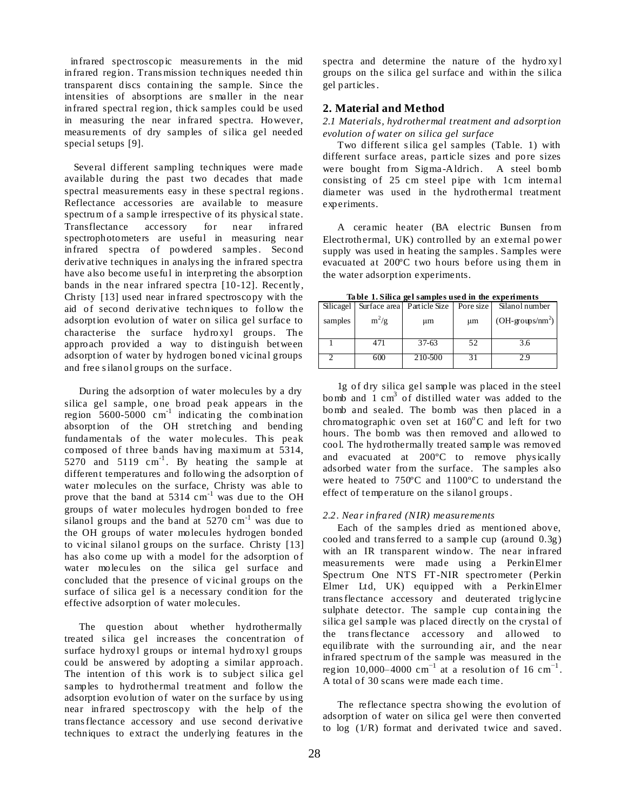infrared spectroscopic measurements in the mid infrared region. Trans mission techniques needed thin transparent discs containing the sample. Since the intensities of absorptions are s maller in the near infrared spectral region, thick samples could be used in measuring the near infrared spectra. However, measurements of dry samples of silica gel needed special setups [9].

 Several different sampling techniques were made available during the past two decades that made spectral measurements easy in these spectral regions . Reflectance accessories are available to measure spectrum of a sample irrespective of its physical state. Transflectance accessory for near infrared spectrophotometers are useful in measuring near infrared spectra of powdered samples. Second derivative techniques in analys ing the infrared spectra have also become useful in interpreting the absorption bands in the near infrared spectra [10-12]. Recently, Christy [13] used near infrared spectroscopy with the aid of second derivative techniques to follow the adsorption evolution of water on silica gel surface to characterise the surface hydroxyl groups. The approach provided a way to distinguish between adsorption of water by hydrogen boned vicinal groups and free s ilanol groups on the surface.

During the adsorption of water molecules by a dry silica gel sample, one broad peak appears in the region  $5600-5000$  cm<sup>-1</sup> indicating the combination absorption of the OH stretching and bending fundamentals of the water molecules. This peak composed of three bands having maximum at 5314, 5270 and 5119  $cm^{-1}$ . By heating the sample at different temperatures and following the adsorption of water molecules on the surface, Christy was able to prove that the band at 5314 cm<sup>-1</sup> was due to the OH groups of water molecules hydrogen bonded to free silanol groups and the band at  $5270 \text{ cm}^{-1}$  was due to the OH groups of water molecules hydrogen bonded to vicinal silanol groups on the surface. Christy [13] has also come up with a model for the adsorption of water molecules on the silica gel surface and concluded that the presence of vicinal groups on the surface of silica gel is a necessary condition for the effective adsorption of water molecules.

The question about whether hydrothermally treated s ilica gel increases the concentration of surface hydroxyl groups or internal hydroxyl groups could be answered by adopting a similar approach. The intention of this work is to subject silica gel samples to hydrothermal treatment and follow the adsorption evolution of water on the surface by us ing near infrared spectroscopy with the help of the trans flectance accessory and use second derivative techniques to extract the underlying features in the

spectra and determine the nature of the hydro xyl groups on the s ilica gel surface and within the s ilica gel particles .

# **2. Material and Method**

*2.1 Materials, hydrothermal treatment and adsorption evolution of water on silica gel surface*

Two different s ilica gel samples (Table. 1) with different surface areas, particle sizes and pore sizes were bought from Sigma -Aldrich. A steel bomb consisting of 25 cm steel pipe with 1cm internal diameter was used in the hydrothermal treatment experiments.

A ceramic heater (BA electric Bunsen from Electrothermal, UK) controlled by an external power supply was used in heating the samples . Samples were evacuated at 200ºC two hours before us ing them in the water adsorption experiments.

| rabic 1.6 mga gersampics useu in uit caperinichts |         |                                      |    |                           |
|---------------------------------------------------|---------|--------------------------------------|----|---------------------------|
| Silicagel                                         |         | Surface area Particle Size Pore size |    | Silanol number            |
| samples                                           | $m^2/g$ | μm                                   | μm | $(OH\text{-}groups/mm^2)$ |
|                                                   | 471     | $37-63$                              | 52 | 3.6                       |
|                                                   | 600     | 210-500                              |    | Σg                        |

**Ta ble 1. Silica gel samples used in the experiments**

1g of dry silica gel sample was placed in the steel bomb and  $1 \text{ cm}^3$  of distilled water was added to the bomb and sealed. The bomb was then placed in a chromatographic oven set at  $160^{\circ}$ C and left for two hours. The bomb was then removed and allowed to cool. The hydrothermally treated sample was removed and evacuated at 200ºC to remove phys ically adsorbed water from the surface. The samples also were heated to 750ºC and 1100ºC to understand the effect of temperature on the s ilanol groups .

#### *2.2. Near infrared (NIR) measurements*

Each of the samples dried as mentioned above, cooled and trans ferred to a sample cup (around 0.3g) with an IR transparent window. The near infrared measurements were made using a PerkinElmer Spectrum One NTS FT-NIR spectrometer (Perkin Elmer Ltd, UK) equipped with a PerkinElmer trans flectance accessory and deuterated triglycine sulphate detector. The sample cup containing the silica gel sample was placed directly on the crystal of the trans flectance accessory and allowed to equilibrate with the surrounding air, and the near infrared spectrum of the sample was measured in the region 10,000–4000 cm<sup>-1</sup> at a resolution of 16 cm<sup>-1</sup>. A total of 30 scans were made each time.

The reflectance spectra showing the evolution of adsorption of water on silica gel were then converted to log (1/R) format and derivated twice and saved.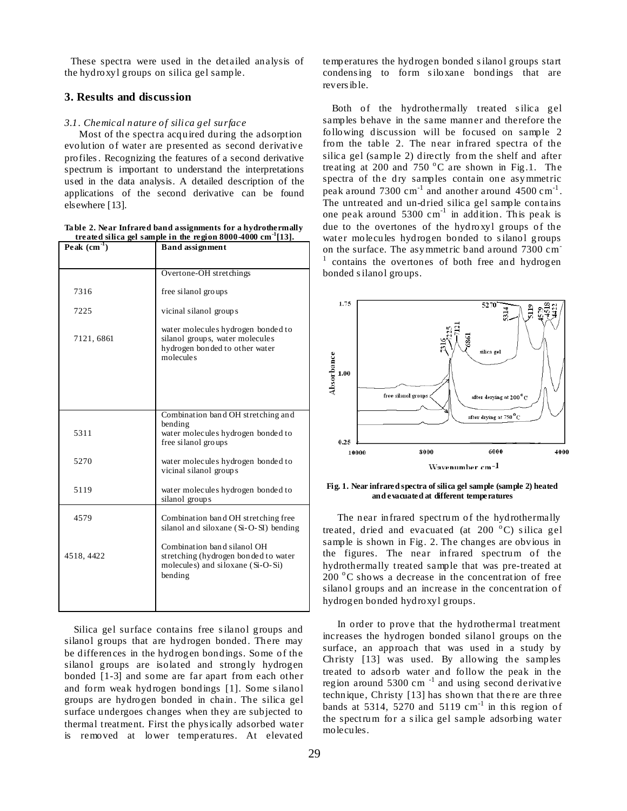These spectra were used in the detailed analysis of the hydroxyl groups on silica gel sample.

# **3. Results and discussion**

#### *3.1. Chemical nature of silica gel surface*

Most of the spectra acquired during the adsorption evolution of water are presented as second derivative profiles . Recognizing the features of a second derivative spectrum is important to understand the interpretations used in the data analysis. A detailed description of the applications of the second derivative can be found elsewhere [13].

**Ta ble 2. Near Infrared band assignments for a hydrothermally treated silica gel sample in the region 8000-4000 cm-1 [13].**

| $\overline{\text{Peak}}$ (cm <sup>-1</sup> ) | <b>Band</b> assignment                                                                                               |  |  |  |
|----------------------------------------------|----------------------------------------------------------------------------------------------------------------------|--|--|--|
|                                              | Overtone-OH stretchings                                                                                              |  |  |  |
| 7316                                         | free silanol groups                                                                                                  |  |  |  |
| 7225                                         | vicinal silanol groups                                                                                               |  |  |  |
| 7121, 6861                                   | water molecules hydrogen bonded to<br>silanol groups, water molecules<br>hydrogen bonded to other water<br>molecules |  |  |  |
|                                              |                                                                                                                      |  |  |  |
| 5311                                         | Combination band OH stretching and<br>bending<br>water molecules hydrogen bonded to<br>free silanol groups           |  |  |  |
| 5270                                         | water molecules hydrogen bonded to<br>vicinal silanol groups                                                         |  |  |  |
| 5119                                         | water molecules hydrogen bonded to<br>silanol groups                                                                 |  |  |  |
| 4579                                         | Combination band OH stretching free<br>silanol and siloxane (Si-O-SI) bending                                        |  |  |  |
| 4518, 4422                                   | Combination band silanol OH<br>stretching (hydrogen bonded to water<br>molecules) and siloxane (Si-O-Si)<br>bending  |  |  |  |
|                                              |                                                                                                                      |  |  |  |

 Silica gel surface contains free s ilanol groups and silanol groups that are hydrogen bonded. There may be differences in the hydrogen bondings. Some of the silanol groups are isolated and strongly hydrogen bonded [1-3] and some are far apart from each other and form weak hydrogen bondings [1]. Some s ilanol groups are hydrogen bonded in chain. The silica gel surface undergoes changes when they are subjected to thermal treatment. First the phys ically adsorbed water is removed at lower temperatures. At elevated

temperatures the hydrogen bonded s ilanol groups start condens ing to form s iloxane bondings that are revers ible.

Both of the hydrothermally treated silica gel samples behave in the same manner and therefore the following discussion will be focused on sample 2 from the table 2. The near infrared spectra of the silica gel (sample 2) directly from the shelf and after treating at 200 and 750  $^{\circ}$ C are shown in Fig.1. The spectra of the dry samples contain one asymmetric peak around  $7300 \text{ cm}^{-1}$  and another around  $4500 \text{ cm}^{-1}$ . The untreated and un-dried silica gel sample contains one peak around  $5300 \text{ cm}^{-1}$  in addition. This peak is due to the overtones of the hydroxyl groups of the water molecules hydrogen bonded to silanol groups on the surface. The asymmetric band around 7300 cm-1 contains the overtones of both free and hydrogen bonded s ilanol groups.





The near infrared spectrum of the hydrothermally treated, dried and evacuated (at  $200\degree C$ ) silica gel sample is shown in Fig. 2. The changes are obvious in the figures. The near infrared spectrum of the hydrothermally treated sample that was pre-treated at  $200\text{ °C}$  shows a decrease in the concentration of free silanol groups and an increase in the concentration of hydrogen bonded hydroxyl groups.

In order to prove that the hydrothermal treatment increases the hydrogen bonded silanol groups on the surface, an approach that was used in a study by Christy [13] was used. By allowing the samples treated to adsorb water and follow the peak in the region around  $5300 \text{ cm}^{-1}$  and using second derivative technique, Christy [13] has shown that there are three bands at 5314, 5270 and 5119  $cm^{-1}$  in this region of the spectrum for a s ilica gel sample adsorbing water molecules.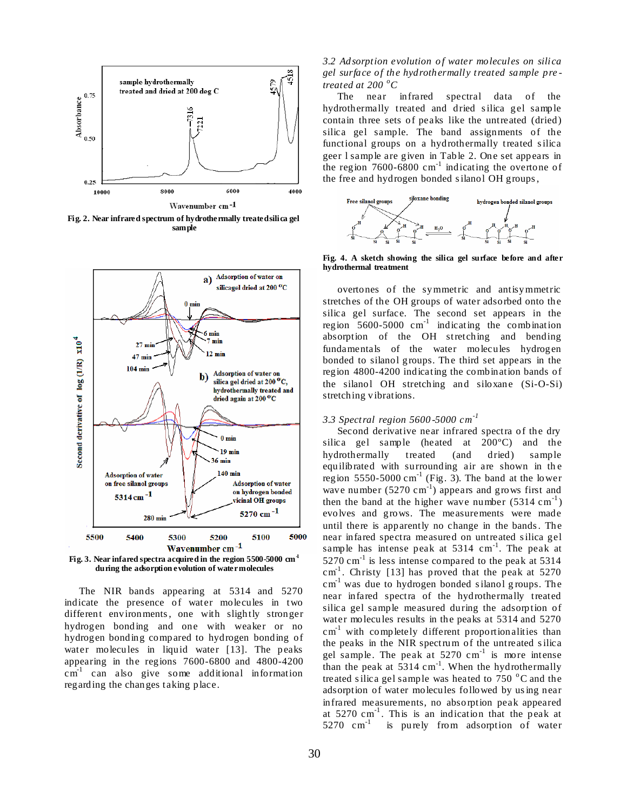

**Fig. 2. Near infrared spectrum of hydrothermally treated silica gel sample**



**Fig. 3. Near infared spectra acquired in the region 5500-5000 cm-1 during the adsorption evolution of water molecules**

The NIR bands appearing at 5314 and 5270 indicate the presence of water molecules in two different environments, one with slightly stronger hydrogen bonding and one with weaker or no hydrogen bonding compared to hydrogen bonding of water molecules in liquid water [13]. The peaks appearing in the regions 7600-6800 and 4800-4200  $\text{cm}^{\text{-1}}$  can also give some additional information regarding the changes taking place.

# *3.2 Adsorption evolution o f water molecules on silica gel surface of the hydrothermally treated sample pre treated at 200 <sup>o</sup>C*

The near infrared spectral data of the hydrothermally treated and dried s ilica gel sample contain three sets of peaks like the untreated (dried) silica gel sample. The band assignments of the functional groups on a hydrothermally treated s ilica geer l sample are given in Table 2. One set appears in the region  $7600-6800$  cm<sup>-1</sup> indicating the overtone of the free and hydrogen bonded s ilanol OH groups ,



**Fig. 4. A sketch showing the silica gel surface before and after hydrothermal treatment**

overtones of the symmetric and antisymmetric stretches of the OH groups of water adsorbed onto the silica gel surface. The second set appears in the region  $5600-5000$  cm<sup>-1</sup> indicating the combination absorption of the OH stretching and bending fundamentals of the water molecules hydrogen bonded to silanol groups. The third set appears in the region 4800-4200 indicating the combination bands of the silanol OH stretching and siloxane (Si-O-Si) stretching vibrations.

## *3.3 Spectral region 5600 -5000 cm-1*

Second derivative near infrared spectra of the dry silica gel sample (heated at 200ºC) and the hydrothermally treated (and dried) sample equilibrated with surrounding air are shown in th e region 5550-5000  $cm^{-1}$  (Fig. 3). The band at the lower wave number  $(5270 \text{ cm}^{-1})$  appears and grows first and then the band at the higher wave number  $(5314 \text{ cm}^{-1})$ evolves and grows. The measurements were made until there is apparently no change in the bands . The near infared spectra measured on untreated s ilica gel sample has intense peak at  $5314 \text{ cm}^{-1}$ . The peak at  $5270 \text{ cm}^{-1}$  is less intense compared to the peak at 5314  $cm<sup>-1</sup>$ . Christy [13] has proved that the peak at 5270 cm<sup>-1</sup> was due to hydrogen bonded silanol groups. The near infared spectra of the hydrothermally treated silica gel sample measured during the adsorption of water molecules results in the peaks at 5314 and 5270  $cm<sup>-1</sup>$  with completely different proportionalities than the peaks in the NIR spectrum of the untreated s ilica gel sample. The peak at  $5270 \text{ cm}^{-1}$  is more intense than the peak at  $5314 \text{ cm}^{-1}$ . When the hydrothermally treated silica gel sample was heated to  $750\degree$ C and the adsorption of water molecules followed by us ing near infrared measurements, no absorption peak appeared at  $5270 \text{ cm}^{-1}$ . This is an indication that the peak at 5270  $cm^{-1}$  is purely from adsorption of water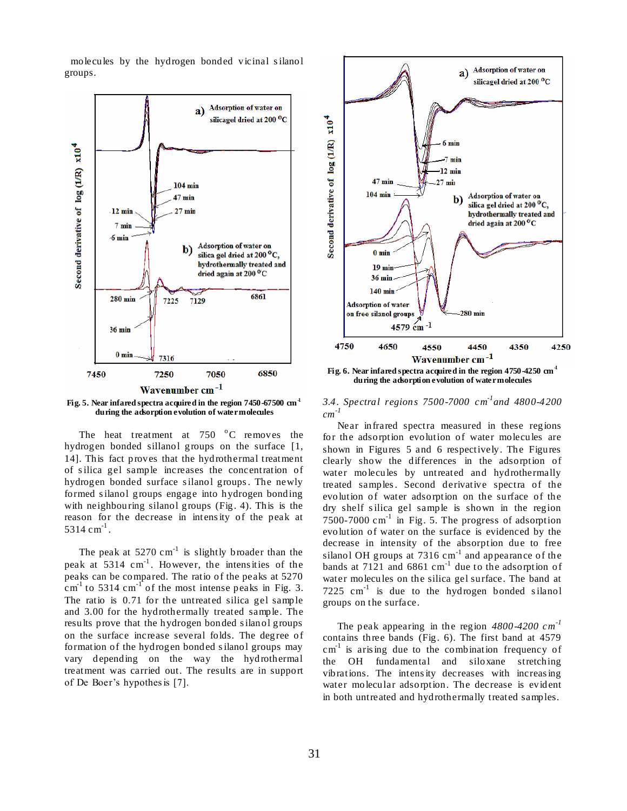molecules by the hydrogen bonded vicinal s ilanol groups.



**Fig. 5. Near infared spectra acquired in the region 7450-67500 cm-1 during the adsorption evolution of water molecules**

The heat treatment at  $750\degree\text{C}$  removes the hydrogen bonded sillanol groups on the surface [1, 14]. This fact proves that the hydrothermal treatment of s ilica gel sample increases the concentration of hydrogen bonded surface s ilanol groups . The newly formed s ilanol groups engage into hydrogen bonding with neighbouring silanol groups (Fig. 4). This is the reason for the decrease in intens ity of the peak at  $5314 \text{ cm}^{-1}$ .

The peak at  $5270 \text{ cm}^{-1}$  is slightly broader than the peak at  $5314 \text{ cm}^{-1}$ . However, the intensities of the peaks can be compared. The ratio of the peaks at 5270  $\text{cm}^{\text{-1}}$  to 5314 cm<sup>-1</sup> of the most intense peaks in Fig. 3. The ratio is 0.71 for the untreated silica gel sample and 3.00 for the hydrothermally treated sample. The results prove that the hydrogen bonded s ilanol groups on the surface increase several folds. The degree of formation of the hydrogen bonded s ilanol groups may vary depending on the way the hydrothermal treatment was carried out. The results are in support of De Boer's hypothes is [7].



*3.4. Spectral regions 7500-7000 cm-1 and 4800-4200 cm -1*

Near infrared spectra measured in these regions for the adsorption evolution of water molecules are shown in Figures 5 and 6 respectively. The Figures clearly show the differences in the adsorption of water molecules by untreated and hydrothermally treated samples. Second derivative spectra of the evolution of water adsorption on the surface of the dry shelf s ilica gel sample is shown in the region  $7500-7000$  cm<sup>-1</sup> in Fig. 5. The progress of adsorption evolution of water on the surface is evidenced by the decrease in intensity of the absorption due to free silanol OH groups at  $7316 \text{ cm}^{-1}$  and appearance of the bands at  $7121$  and  $6861$  cm<sup>-1</sup> due to the adsorption of water molecules on the silica gel surface. The band at 7225  $cm^{-1}$  is due to the hydrogen bonded silanol groups on the surface.

The peak appearing in the region *4800-4200 cm-1*  contains three bands (Fig. 6). The first band at 4579  $cm<sup>-1</sup>$  is arising due to the combination frequency of the OH fundamental and siloxane stretching vibrations. The intens ity decreases with increas ing water molecular adsorption. The decrease is evident in both untreated and hydrothermally treated samples.